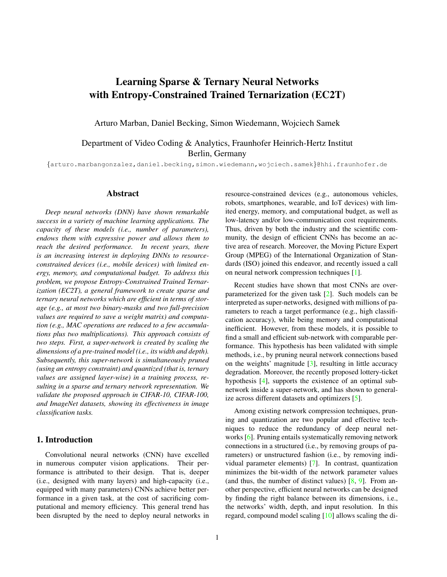# <span id="page-0-0"></span>Learning Sparse & Ternary Neural Networks with Entropy-Constrained Trained Ternarization (EC2T)

Arturo Marban, Daniel Becking, Simon Wiedemann, Wojciech Samek

Department of Video Coding & Analytics, Fraunhofer Heinrich-Hertz Institut Berlin, Germany

{arturo.marbangonzalez,daniel.becking,simon.wiedemann,wojciech.samek}@hhi.fraunhofer.de

## Abstract

*Deep neural networks (DNN) have shown remarkable success in a variety of machine learning applications. The capacity of these models (i.e., number of parameters), endows them with expressive power and allows them to reach the desired performance. In recent years, there is an increasing interest in deploying DNNs to resourceconstrained devices (i.e., mobile devices) with limited energy, memory, and computational budget. To address this problem, we propose Entropy-Constrained Trained Ternarization (EC2T), a general framework to create sparse and ternary neural networks which are efficient in terms of storage (e.g., at most two binary-masks and two full-precision values are required to save a weight matrix) and computation (e.g., MAC operations are reduced to a few accumulations plus two multiplications). This approach consists of two steps. First, a super-network is created by scaling the dimensions of a pre-trained model (i.e., its width and depth). Subsequently, this super-network is simultaneously pruned (using an entropy constraint) and quantized (that is, ternary values are assigned layer-wise) in a training process, resulting in a sparse and ternary network representation. We validate the proposed approach in CIFAR-10, CIFAR-100, and ImageNet datasets, showing its effectiveness in image classification tasks.*

#### 1. Introduction

Convolutional neural networks (CNN) have excelled in numerous computer vision applications. Their performance is attributed to their design. That is, deeper (i.e., designed with many layers) and high-capacity (i.e., equipped with many parameters) CNNs achieve better performance in a given task, at the cost of sacrificing computational and memory efficiency. This general trend has been disrupted by the need to deploy neural networks in resource-constrained devices (e.g., autonomous vehicles, robots, smartphones, wearable, and IoT devices) with limited energy, memory, and computational budget, as well as low-latency and/or low-communication cost requirements. Thus, driven by both the industry and the scientific community, the design of efficient CNNs has become an active area of research. Moreover, the Moving Picture Expert Group (MPEG) of the International Organization of Standards (ISO) joined this endeavor, and recently issued a call on neural network compression techniques [\[1\]](#page-6-0).

Recent studies have shown that most CNNs are overparameterized for the given task [\[2\]](#page-6-1). Such models can be interpreted as super-networks, designed with millions of parameters to reach a target performance (e.g., high classification accuracy), while being memory and computational inefficient. However, from these models, it is possible to find a small and efficient sub-network with comparable performance. This hypothesis has been validated with simple methods, i.e., by pruning neural network connections based on the weights' magnitude  $[3]$ , resulting in little accuracy degradation. Moreover, the recently proposed lottery-ticket hypothesis [\[4\]](#page-6-3), supports the existence of an optimal subnetwork inside a super-network, and has shown to generalize across different datasets and optimizers [\[5\]](#page-6-4).

Among existing network compression techniques, pruning and quantization are two popular and effective techniques to reduce the redundancy of deep neural networks [\[6\]](#page-6-5). Pruning entails systematically removing network connections in a structured (i.e., by removing groups of parameters) or unstructured fashion (i.e., by removing individual parameter elements) [\[7\]](#page-6-6). In contrast, quantization minimizes the bit-width of the network parameter values (and thus, the number of distinct values)  $[8, 9]$  $[8, 9]$  $[8, 9]$ . From another perspective, efficient neural networks can be designed by finding the right balance between its dimensions, i.e., the networks' width, depth, and input resolution. In this regard, compound model scaling [\[10\]](#page-7-0) allows scaling the di-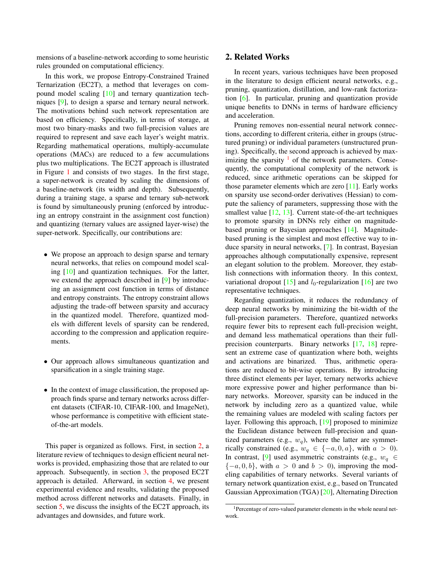<span id="page-1-2"></span>mensions of a baseline-network according to some heuristic rules grounded on computational efficiency.

In this work, we propose Entropy-Constrained Trained Ternarization (EC2T), a method that leverages on compound model scaling [\[10\]](#page-7-0) and ternary quantization techniques [\[9\]](#page-6-8), to design a sparse and ternary neural network. The motivations behind such network representation are based on efficiency. Specifically, in terms of storage, at most two binary-masks and two full-precision values are required to represent and save each layer's weight matrix. Regarding mathematical operations, multiply-accumulate operations (MACs) are reduced to a few accumulations plus two multiplications. The EC2T approach is illustrated in Figure [1](#page-2-0) and consists of two stages. In the first stage, a super-network is created by scaling the dimensions of a baseline-network (its width and depth). Subsequently, during a training stage, a sparse and ternary sub-network is found by simultaneously pruning (enforced by introducing an entropy constraint in the assignment cost function) and quantizing (ternary values are assigned layer-wise) the super-network. Specifically, our contributions are:

- We propose an approach to design sparse and ternary neural networks, that relies on compound model scaling [\[10\]](#page-7-0) and quantization techniques. For the latter, we extend the approach described in [\[9\]](#page-6-8) by introducing an assignment cost function in terms of distance and entropy constraints. The entropy constraint allows adjusting the trade-off between sparsity and accuracy in the quantized model. Therefore, quantized models with different levels of sparsity can be rendered, according to the compression and application requirements.
- Our approach allows simultaneous quantization and sparsification in a single training stage.
- In the context of image classification, the proposed approach finds sparse and ternary networks across different datasets (CIFAR-10, CIFAR-100, and ImageNet), whose performance is competitive with efficient stateof-the-art models.

This paper is organized as follows. First, in section [2,](#page-1-0) a literature review of techniques to design efficient neural networks is provided, emphasizing those that are related to our approach. Subsequently, in section [3,](#page-2-1) the proposed EC2T approach is detailed. Afterward, in section [4,](#page-4-0) we present experimental evidence and results, validating the proposed method across different networks and datasets. Finally, in section [5,](#page-5-0) we discuss the insights of the EC2T approach, its advantages and downsides, and future work.

# <span id="page-1-0"></span>2. Related Works

In recent years, various techniques have been proposed in the literature to design efficient neural networks, e.g., pruning, quantization, distillation, and low-rank factorization [\[6\]](#page-6-5). In particular, pruning and quantization provide unique benefits to DNNs in terms of hardware efficiency and acceleration.

Pruning removes non-essential neural network connections, according to different criteria, either in groups (structured pruning) or individual parameters (unstructured pruning). Specifically, the second approach is achieved by maximizing the sparsity  $\frac{1}{1}$  $\frac{1}{1}$  $\frac{1}{1}$  of the network parameters. Consequently, the computational complexity of the network is reduced, since arithmetic operations can be skipped for those parameter elements which are zero  $[11]$ . Early works on sparsity use second-order derivatives (Hessian) to compute the saliency of parameters, suppressing those with the smallest value [\[12,](#page-7-2) [13\]](#page-7-3). Current state-of-the-art techniques to promote sparsity in DNNs rely either on magnitudebased pruning or Bayesian approaches [\[14\]](#page-7-4). Magnitudebased pruning is the simplest and most effective way to induce sparsity in neural networks, [\[7\]](#page-6-6). In contrast, Bayesian approaches although computationally expensive, represent an elegant solution to the problem. Moreover, they establish connections with information theory. In this context, variational dropout  $[15]$  and  $l_0$ -regularization  $[16]$  are two representative techniques.

Regarding quantization, it reduces the redundancy of deep neural networks by minimizing the bit-width of the full-precision parameters. Therefore, quantized networks require fewer bits to represent each full-precision weight, and demand less mathematical operations than their fullprecision counterparts. Binary networks [\[17,](#page-7-7) [18\]](#page-7-8) represent an extreme case of quantization where both, weights and activations are binarized. Thus, arithmetic operations are reduced to bit-wise operations. By introducing three distinct elements per layer, ternary networks achieve more expressive power and higher performance than binary networks. Moreover, sparsity can be induced in the network by including zero as a quantized value, while the remaining values are modeled with scaling factors per layer. Following this approach, [\[19\]](#page-7-9) proposed to minimize the Euclidean distance between full-precision and quantized parameters (e.g.,  $w_q$ ), where the latter are symmetrically constrained (e.g.,  $w_q \in \{-a, 0, a\}$ , with  $a > 0$ ). In contrast, [\[9\]](#page-6-8) used asymmetric constraints (e.g.,  $w_q \in$  $\{-a, 0, b\}$ , with  $a > 0$  and  $b > 0$ ), improving the modeling capabilities of ternary networks. Several variants of ternary network quantization exist, e.g., based on Truncated Gaussian Approximation (TGA) [\[20\]](#page-7-10), Alternating Direction

<span id="page-1-1"></span><sup>&</sup>lt;sup>1</sup>Percentage of zero-valued parameter elements in the whole neural network.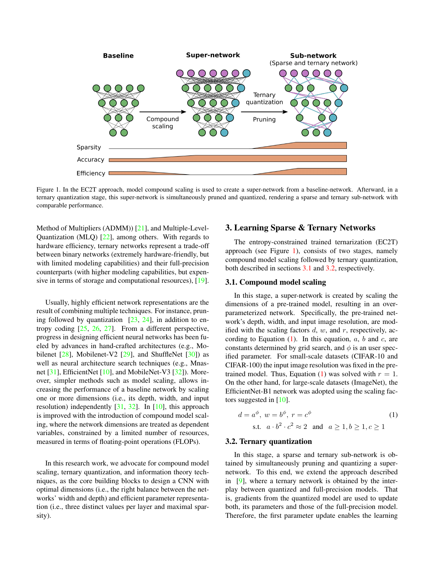<span id="page-2-5"></span>

<span id="page-2-0"></span>Figure 1. In the EC2T approach, model compound scaling is used to create a super-network from a baseline-network. Afterward, in a ternary quantization stage, this super-network is simultaneously pruned and quantized, rendering a sparse and ternary sub-network with comparable performance.

Method of Multipliers (ADMM)) [\[21\]](#page-7-11), and Multiple-Level-Quantization (MLQ) [\[22\]](#page-7-12), among others. With regards to hardware efficiency, ternary networks represent a trade-off between binary networks (extremely hardware-friendly, but with limited modeling capabilities) and their full-precision counterparts (with higher modeling capabilities, but expen-sive in terms of storage and computational resources), [\[19\]](#page-7-9).

Usually, highly efficient network representations are the result of combining multiple techniques. For instance, pruning followed by quantization  $[23, 24]$  $[23, 24]$  $[23, 24]$ , in addition to entropy coding [\[25,](#page-7-15) [26,](#page-7-16) [27\]](#page-7-17). From a different perspective, progress in designing efficient neural networks has been fueled by advances in hand-crafted architectures (e.g., Mobilenet  $[28]$ , Mobilenet-V2  $[29]$ , and ShuffleNet  $[30]$ ) as well as neural architecture search techniques (e.g., Mnasnet [\[31\]](#page-7-21), EfficientNet [\[10\]](#page-7-0), and MobileNet-V3 [\[32\]](#page-7-22)). Moreover, simpler methods such as model scaling, allows increasing the performance of a baseline network by scaling one or more dimensions (i.e., its depth, width, and input resolution) independently  $[31, 32]$  $[31, 32]$  $[31, 32]$ . In  $[10]$ , this approach is improved with the introduction of compound model scaling, where the network dimensions are treated as dependent variables, constrained by a limited number of resources, measured in terms of floating-point operations (FLOPs).

In this research work, we advocate for compound model scaling, ternary quantization, and information theory techniques, as the core building blocks to design a CNN with optimal dimensions (i.e., the right balance between the networks' width and depth) and efficient parameter representation (i.e., three distinct values per layer and maximal sparsity).

# <span id="page-2-1"></span>3. Learning Sparse & Ternary Networks

The entropy-constrained trained ternarization (EC2T) approach (see Figure [1\)](#page-2-0), consists of two stages, namely compound model scaling followed by ternary quantization, both described in sections [3.1](#page-2-2) and [3.2,](#page-2-3) respectively.

#### <span id="page-2-2"></span>3.1. Compound model scaling

In this stage, a super-network is created by scaling the dimensions of a pre-trained model, resulting in an overparameterized network. Specifically, the pre-trained network's depth, width, and input image resolution, are modified with the scaling factors  $d, w$ , and  $r$ , respectively, according to Equation  $(1)$ . In this equation,  $a, b$  and  $c,$  are constants determined by grid search, and  $\phi$  is an user specified parameter. For small-scale datasets (CIFAR-10 and CIFAR-100) the input image resolution was fixed in the pre-trained model. Thus, Equation [\(1\)](#page-2-4) was solved with  $r = 1$ . On the other hand, for large-scale datasets (ImageNet), the EfficientNet-B1 network was adopted using the scaling factors suggested in [\[10\]](#page-7-0).

<span id="page-2-4"></span>
$$
d = a^{\phi}, w = b^{\phi}, r = c^{\phi}
$$
  
s.t.  $a \cdot b^2 \cdot c^2 \approx 2$  and  $a \ge 1, b \ge 1, c \ge 1$  (1)

#### <span id="page-2-3"></span>3.2. Ternary quantization

In this stage, a sparse and ternary sub-network is obtained by simultaneously pruning and quantizing a supernetwork. To this end, we extend the approach described in [\[9\]](#page-6-8), where a ternary network is obtained by the interplay between quantized and full-precision models. That is, gradients from the quantized model are used to update both, its parameters and those of the full-precision model. Therefore, the first parameter update enables the learning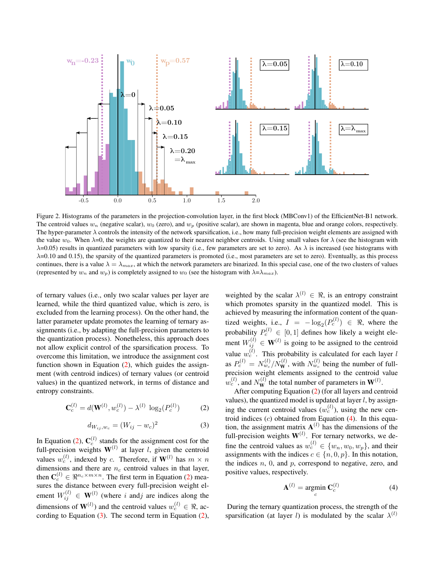

<span id="page-3-3"></span>Figure 2. Histograms of the parameters in the projection-convolution layer, in the first block (MBConv1) of the EfficientNet-B1 network. The centroid values  $w_n$  (negative scalar),  $w_0$  (zero), and  $w_p$  (positive scalar), are shown in magenta, blue and orange colors, respectively. The hyper-parameter  $\lambda$  controls the intensity of the network sparsification, i.e., how many full-precision weight elements are assigned with the value  $w_0$ . When  $\lambda=0$ , the weights are quantized to their nearest neighbor centroids. Using small values for  $\lambda$  (see the histogram with  $\lambda$ =0.05) results in quantized parameters with low sparsity (i.e., few parameters are set to zero). As  $\lambda$  is increased (see histograms with  $\lambda$ =0.10 and 0.15), the sparsity of the quantized parameters is promoted (i.e., most parameters are set to zero). Eventually, as this process continues, there is a value  $\lambda = \lambda_{max}$ , at which the network parameters are binarized. In this special case, one of the two clusters of values (represented by  $w_n$  and  $w_p$ ) is completely assigned to  $w_0$  (see the histogram with  $\lambda = \lambda_{max}$ ).

of ternary values (i.e., only two scalar values per layer are learned, while the third quantized value, which is zero, is excluded from the learning process). On the other hand, the latter parameter update promotes the learning of ternary assignments (i.e., by adapting the full-precision parameters to the quantization process). Nonetheless, this approach does not allow explicit control of the sparsification process. To overcome this limitation, we introduce the assignment cost function shown in Equation  $(2)$ , which guides the assignment (with centroid indices) of ternary values (or centroid values) in the quantized network, in terms of distance and entropy constraints.

<span id="page-3-0"></span>
$$
\mathbf{C}_c^{(l)} = d(\mathbf{W}^{(l)}, w_c^{(l)}) - \lambda^{(l)} \, \log_2(P_c^{(l)}) \tag{2}
$$

<span id="page-3-1"></span>
$$
d_{W_{ij},w_c} = (W_{ij} - w_c)^2
$$
 (3)

In Equation [\(2\)](#page-3-0),  $\mathbf{C}_c^{(l)}$  stands for the assignment cost for the full-precision weights  $W^{(l)}$  at layer *l*, given the centroid values  $w_c^{(l)}$ , indexed by c. Therefore, if  $\mathbf{W}^{(l)}$  has  $m \times n$ dimensions and there are  $n_c$  centroid values in that layer, then  $\mathbf{C}_c^{(l)} \in \Re^{n_c \times m \times n}$ . The first term in Equation [\(2\)](#page-3-0) measures the distance between every full-precision weight element  $W_{ij}^{(l)} \in \mathbf{W}^{(l)}$  (where i andj are indices along the dimensions of  $\mathbf{W}^{(l)}$ ) and the centroid values  $w_c^{(l)} \in \Re$ , according to Equation [\(3\)](#page-3-1). The second term in Equation [\(2\)](#page-3-0),

weighted by the scalar  $\lambda^{(l)} \in \Re$ , is an entropy constraint which promotes sparsity in the quantized model. This is achieved by measuring the information content of the quantized weights, i.e.,  $I = -\log_2(P_c^{(l)}) \in \Re$ , where the probability  $P_c^{(l)} \in [0,1]$  defines how likely a weight element  $W_{ij}^{(l)} \in \mathbf{W}^{(l)}$  is going to be assigned to the centroid value  $w_c^{(l)}$ . This probability is calculated for each layer l as  $P_c^{(l)} = N_{w_c}^{(l)}/N_{\mathbf{W}}^{(l)}$ , with  $N_{w_c}^{(l)}$  being the number of fullprecision weight elements assigned to the centroid value  $w_c^{(l)}$ , and  $N_{\bf W}^{(l)}$  the total number of parameters in  ${\bf W}^{(l)}$ .

After computing Equation [\(2\)](#page-3-0) (for all layers and centroid values), the quantized model is updated at layer  $l$ , by assigning the current centroid values  $(w_c^{(l)})$ , using the new centroid indices  $(c)$  obtained from Equation  $(4)$ . In this equation, the assignment matrix  $A^{(l)}$  has the dimensions of the full-precision weights  $W^{(l)}$ . For ternary networks, we define the centroid values as  $w_c^{(l)} \in \{w_n, w_0, w_p\}$ , and their assignments with the indices  $c \in \{n, 0, p\}$ . In this notation, the indices  $n$ ,  $0$ , and  $p$ , correspond to negative, zero, and positive values, respectively.

<span id="page-3-2"></span>
$$
\mathbf{A}^{(l)} = \underset{c}{\text{argmin}} \ \mathbf{C}_c^{(l)} \tag{4}
$$

During the ternary quantization process, the strength of the sparsification (at layer l) is modulated by the scalar  $\lambda^{(l)}$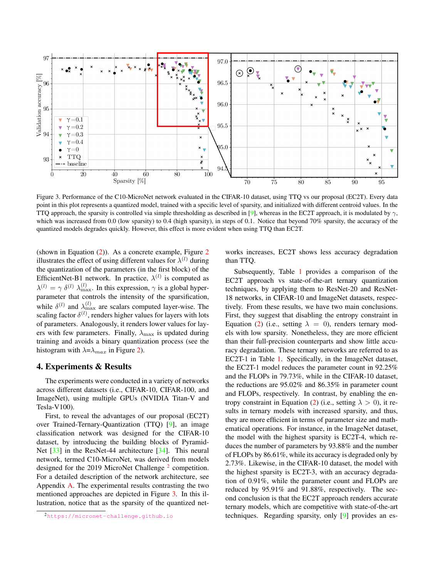<span id="page-4-3"></span>

<span id="page-4-2"></span>Figure 3. Performance of the C10-MicroNet network evaluated in the CIFAR-10 dataset, using TTQ vs our proposal (EC2T). Every data point in this plot represents a quantized model, trained with a specific level of sparsity, and initialized with different centroid values. In the TTQ approach, the sparsity is controlled via simple thresholding as described in [\[9\]](#page-6-8), whereas in the EC2T approach, it is modulated by  $\gamma$ , which was increased from 0.0 (low sparsity) to 0.4 (high sparsity), in steps of 0.1. Notice that beyond 70% sparsity, the accuracy of the quantized models degrades quickly. However, this effect is more evident when using TTQ than EC2T.

(shown in Equation  $(2)$ ). As a concrete example, Figure [2](#page-3-3) illustrates the effect of using different values for  $\lambda^{(l)}$  during the quantization of the parameters (in the first block) of the EfficientNet-B1 network. In practice,  $\lambda^{(l)}$  is computed as  $\lambda^{(l)} = \gamma \delta^{(l)} \lambda_{\max}^{(l)}$ . In this expression,  $\gamma$  is a global hyperparameter that controls the intensity of the sparsification, while  $\delta^{(l)}$  and  $\lambda_{\max}^{(l)}$  are scalars computed layer-wise. The scaling factor  $\delta^{(l)}$ , renders higher values for layers with lots of parameters. Analogously, it renders lower values for layers with few parameters. Finally,  $\lambda_{\text{max}}$  is updated during training and avoids a binary quantization process (see the histogram with  $\lambda = \lambda_{max}$  in Figure [2\)](#page-3-3).

## <span id="page-4-0"></span>4. Experiments & Results

The experiments were conducted in a variety of networks across different datasets (i.e., CIFAR-10, CIFAR-100, and ImageNet), using multiple GPUs (NVIDIA Titan-V and Tesla-V100).

First, to reveal the advantages of our proposal (EC2T) over Trained-Ternary-Quantization (TTQ) [\[9\]](#page-6-8), an image classification network was designed for the CIFAR-10 dataset, by introducing the building blocks of Pyramid-Net [\[33\]](#page-7-23) in the ResNet-44 architecture [\[34\]](#page-7-24). This neural network, termed C10-MicroNet, was derived from models designed for the [2](#page-4-1)019 MicroNet Challenge<sup>2</sup> competition. For a detailed description of the network architecture, see Appendix [A.](#page-9-0) The experimental results contrasting the two mentioned approaches are depicted in Figure [3.](#page-4-2) In this illustration, notice that as the sparsity of the quantized networks increases, EC2T shows less accuracy degradation than TTQ.

Subsequently, Table [1](#page-5-1) provides a comparison of the EC2T approach vs state-of-the-art ternary quantization techniques, by applying them to ResNet-20 and ResNet-18 networks, in CIFAR-10 and ImageNet datasets, respectively. From these results, we have two main conclusions. First, they suggest that disabling the entropy constraint in Equation [\(2\)](#page-3-0) (i.e., setting  $\lambda = 0$ ), renders ternary models with low sparsity. Nonetheless, they are more efficient than their full-precision counterparts and show little accuracy degradation. These ternary networks are referred to as EC2T-1 in Table [1.](#page-5-1) Specifically, in the ImageNet dataset, the EC2T-1 model reduces the parameter count in 92.25% and the FLOPs in 79.73%, while in the CIFAR-10 dataset, the reductions are 95.02% and 86.35% in parameter count and FLOPs, respectively. In contrast, by enabling the en-tropy constraint in Equation [\(2\)](#page-3-0) (i.e., setting  $\lambda > 0$ ), it results in ternary models with increased sparsity, and thus, they are more efficient in terms of parameter size and mathematical operations. For instance, in the ImageNet dataset, the model with the highest sparsity is EC2T-4, which reduces the number of parameters by 93.88% and the number of FLOPs by 86.61%, while its accuracy is degraded only by 2.73%. Likewise, in the CIFAR-10 dataset, the model with the highest sparsity is EC2T-3, with an accuracy degradation of 0.91%, while the parameter count and FLOPs are reduced by 95.91% and 91.88%, respectively. The second conclusion is that the EC2T approach renders accurate ternary models, which are competitive with state-of-the-art techniques. Regarding sparsity, only [\[9\]](#page-6-8) provides an es-

<span id="page-4-1"></span><sup>2</sup><https://micronet-challenge.github.io>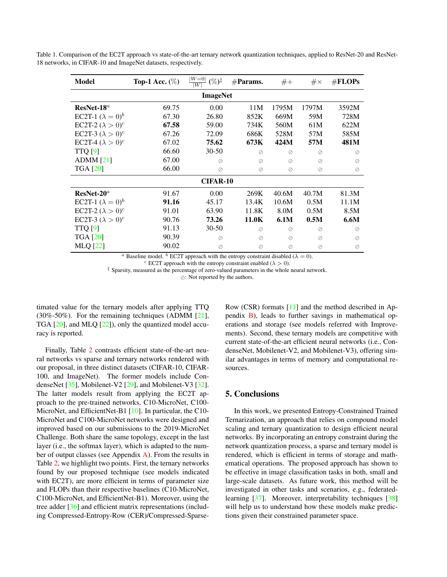| <b>Model</b>                    | Top-1 Acc. $(\%)$ | $ W=0 $<br>$(\%)^{\ddagger}$<br>$\overline{W}$ | $#$ Params. | $#+$  | $\#\times$ | #FLOPs    |  |
|---------------------------------|-------------------|------------------------------------------------|-------------|-------|------------|-----------|--|
| <b>ImageNet</b>                 |                   |                                                |             |       |            |           |  |
| $ResNet-18^a$                   | 69.75             | 0.00                                           | 11M         | 1795M | 1797M      | 3592M     |  |
| EC2T-1 $(\lambda = 0)^b$        | 67.30             | 26.80                                          | 852K        | 669M  | 59M        | 728M      |  |
| EC2T-2 $(\lambda > 0)^c$        | 67.58             | 59.00                                          | 734K        | 560M  | 61M        | 622M      |  |
| EC2T-3 $(\lambda > 0)^c$        | 67.26             | 72.09                                          | 686K        | 528M  | 57M        | 585M      |  |
| EC2T-4 $(\lambda > 0)^c$        | 67.02             | 75.62                                          | 673K        | 424M  | 57M        | 481M      |  |
| <b>TTQ</b> [9]                  | 66.60             | $30 - 50$                                      | ⊘           | ⊘     | ⊘          | $\oslash$ |  |
| $ADMM$ [21]                     | 67.00             | $\oslash$                                      | $\oslash$   | ⊘     | ⊘          | $\oslash$ |  |
| <b>TGA</b> [20]                 | 66.00             | $\oslash$                                      | $\oslash$   | Ø     | $\oslash$  | $\oslash$ |  |
| <b>CIFAR-10</b>                 |                   |                                                |             |       |            |           |  |
| $ResNet-20a$                    | 91.67             | 0.00                                           | 269K        | 40.6M | 40.7M      | 81.3M     |  |
| <b>EC2T-1</b> $(\lambda = 0)^b$ | 91.16             | 45.17                                          | 13.4K       | 10.6M | 0.5M       | 11.1M     |  |
| EC2T-2 $(\lambda > 0)^c$        | 91.01             | 63.90                                          | 11.8K       | 8.0M  | 0.5M       | 8.5M      |  |
| EC2T-3 $(\lambda > 0)^c$        | 90.76             | 73.26                                          | 11.0K       | 6.1M  | 0.5M       | 6.6M      |  |
| TTQ[9]                          | 91.13             | $30 - 50$                                      | ⊘           | ⊘     | ⊘          | $\oslash$ |  |
| <b>TGA</b> [20]                 | 90.39             | $\oslash$                                      | ⊘           | ⊘     | ⊘          | ⊘         |  |
| <b>MLQ</b> [22]                 | 90.02             | $\oslash$                                      | $\oslash$   | Ø     | $\oslash$  | $\oslash$ |  |

<span id="page-5-2"></span><span id="page-5-1"></span>Table 1. Comparison of the EC2T approach vs state-of-the-art ternary network quantization techniques, applied to ResNet-20 and ResNet-18 networks, in CIFAR-10 and ImageNet datasets, respectively.

<sup>a</sup> Baseline model. <sup>b</sup> EC2T approach with the entropy constraint disabled ( $\lambda = 0$ ).

<sup>c</sup> EC2T approach with the entropy constraint enabled ( $\lambda > 0$ ). ‡ Sparsity, measured as the percentage of zero-valued parameters in the whole neural network.

 $\oslash$ : Not reported by the authors.

timated value for the ternary models after applying TTQ (30%-50%). For the remaining techniques (ADMM [\[21\]](#page-7-11), TGA [\[20\]](#page-7-10), and MLQ [\[22\]](#page-7-12)), only the quantized model accuracy is reported.

Finally, Table [2](#page-6-9) contrasts efficient state-of-the-art neural networks vs sparse and ternary networks rendered with our proposal, in three distinct datasets (CIFAR-10, CIFAR-100, and ImageNet). The former models include CondenseNet [\[35\]](#page-7-25), Mobilenet-V2 [\[29\]](#page-7-19), and Mobilenet-V3 [\[32\]](#page-7-22). The latter models result from applying the EC2T approach to the pre-trained networks, C10-MicroNet, C100- MicroNet, and EfficientNet-B1 [\[10\]](#page-7-0). In particular, the C10-MicroNet and C100-MicroNet networks were designed and improved based on our submissions to the 2019-MicroNet Challenge. Both share the same topology, except in the last layer (i.e., the softmax layer), which is adapted to the number of output classes (see Appendix  $\overline{A}$ ). From the results in Table [2,](#page-6-9) we highlight two points. First, the ternary networks found by our proposed technique (see models indicated with EC2T), are more efficient in terms of parameter size and FLOPs than their respective baselines (C10-MicroNet, C100-MicroNet, and EfficientNet-B1). Moreover, using the tree adder [\[36\]](#page-7-26) and efficient matrix representations (including Compressed-Entropy-Row (CER)/Compressed-SparseRow (CSR) formats [\[11\]](#page-7-1) and the method described in Appendix [B\)](#page-10-0), leads to further savings in mathematical operations and storage (see models referred with Improvements). Second, these ternary models are competitive with current state-of-the-art efficient neural networks (i.e., CondenseNet, Mobilenet-V2, and Mobilenet-V3), offering similar advantages in terms of memory and computational resources.

#### <span id="page-5-0"></span>5. Conclusions

In this work, we presented Entropy-Constrained Trained Ternarization, an approach that relies on compound model scaling and ternary quantization to design efficient neural networks. By incorporating an entropy constraint during the network quantization process, a sparse and ternary model is rendered, which is efficient in terms of storage and mathematical operations. The proposed approach has shown to be effective in image classification tasks in both, small and large-scale datasets. As future work, this method will be investigated in other tasks and scenarios, e.g., federated-learning [\[37\]](#page-8-0). Moreover, interpretability techniques [\[38\]](#page-8-1) will help us to understand how these models make predictions given their constrained parameter space.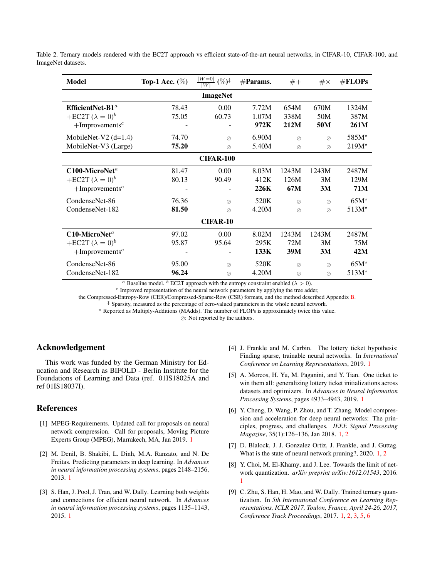| Model                         | Top-1 Acc. $(\%)$ | $ W=0 $<br>$(\%)^{\ddagger}$<br>$\overline{W}$ | $#$ Params. | $#+$            | $\#\times$      | $\#\text{FLOPs}$ |  |
|-------------------------------|-------------------|------------------------------------------------|-------------|-----------------|-----------------|------------------|--|
| <b>ImageNet</b>               |                   |                                                |             |                 |                 |                  |  |
| EfficientNet-B1 <sup>a</sup>  | 78.43             | 0.00                                           | 7.72M       | 654M            | 670M            | 1324M            |  |
| +EC2T $(\lambda = 0)^b$       | 75.05             | 60.73                                          | 1.07M       | 338M            | 50 <sub>M</sub> | 387M             |  |
| $+$ Improvements <sup>c</sup> |                   |                                                | 972K        | 212M            | 50M             | 261M             |  |
| MobileNet-V2 $(d=1.4)$        | 74.70             | $\oslash$                                      | 6.90M       | $\oslash$       | $\oslash$       | 585M*            |  |
| MobileNet-V3 (Large)          | 75.20             | $\oslash$                                      | 5.40M       | $\oslash$       | $\oslash$       | $219M*$          |  |
| <b>CIFAR-100</b>              |                   |                                                |             |                 |                 |                  |  |
| $C100$ -MicroNet <sup>a</sup> | 81.47             | 0.00                                           | 8.03M       | 1243M           | 1243M           | 2487M            |  |
| +EC2T $(\lambda = 0)^b$       | 80.13             | 90.49                                          | 412K        | 126M            | 3M              | 129M             |  |
| $+$ Improvements <sup>c</sup> |                   |                                                | 226K        | 67M             | 3M              | 71M              |  |
| CondenseNet-86                | 76.36             | $\oslash$                                      | 520K        | $\oslash$       | $\oslash$       | $65M*$           |  |
| CondenseNet-182               | 81.50             | $\oslash$                                      | 4.20M       | $\oslash$       | $\oslash$       | $513M*$          |  |
| <b>CIFAR-10</b>               |                   |                                                |             |                 |                 |                  |  |
| $C10$ -MicroNet <sup>a</sup>  | 97.02             | 0.00                                           | 8.02M       | 1243M           | 1243M           | 2487M            |  |
| +EC2T $(\lambda = 0)^b$       | 95.87             | 95.64                                          | 295K        | 72M             | 3M              | 75M              |  |
| $+$ Improvements <sup>c</sup> |                   |                                                | 133K        | 39 <sub>M</sub> | 3M              | 42M              |  |
| CondenseNet-86                | 95.00             | $\oslash$                                      | 520K        | $\oslash$       | $\oslash$       | $65M*$           |  |
| CondenseNet-182               | 96.24             | $\oslash$                                      | 4.20M       | $\oslash$       | $\oslash$       | $513M*$          |  |

<span id="page-6-9"></span>Table 2. Ternary models rendered with the EC2T approach vs efficient state-of-the-art neural networks, in CIFAR-10, CIFAR-100, and ImageNet datasets.

<sup>a</sup> Baseline model. <sup>b</sup> EC2T approach with the entropy constraint enabled ( $\lambda > 0$ ).

<sup>c</sup> Improved representation of the neural network parameters by applying the tree adder,

the Compressed-Entropy-Row (CER)/Compressed-Sparse-Row (CSR) formats, and the method described Appendix [B.](#page-10-0)

‡ Sparsity, measured as the percentage of zero-valued parameters in the whole neural network.

? Reported as Multiply-Additions (MAdds). The number of FLOPs is approximately twice this value.

 $\oslash$ : Not reported by the authors.

# Acknowledgement

This work was funded by the German Ministry for Education and Research as BIFOLD - Berlin Institute for the Foundations of Learning and Data (ref. 01IS18025A and ref 01IS18037I).

# **References**

- <span id="page-6-0"></span>[1] MPEG-Requirements. Updated call for proposals on neural network compression. Call for proposals, Moving Picture Experts Group (MPEG), Marrakech, MA, Jan 2019. [1](#page-0-0)
- <span id="page-6-1"></span>[2] M. Denil, B. Shakibi, L. Dinh, M.A. Ranzato, and N. De Freitas. Predicting parameters in deep learning. In *Advances in neural information processing systems*, pages 2148–2156, 2013. [1](#page-0-0)
- <span id="page-6-2"></span>[3] S. Han, J. Pool, J. Tran, and W. Dally. Learning both weights and connections for efficient neural network. In *Advances in neural information processing systems*, pages 1135–1143, 2015. [1](#page-0-0)
- <span id="page-6-3"></span>[4] J. Frankle and M. Carbin. The lottery ticket hypothesis: Finding sparse, trainable neural networks. In *International Conference on Learning Representations*, 2019. [1](#page-0-0)
- <span id="page-6-4"></span>[5] A. Morcos, H. Yu, M. Paganini, and Y. Tian. One ticket to win them all: generalizing lottery ticket initializations across datasets and optimizers. In *Advances in Neural Information Processing Systems*, pages 4933–4943, 2019. [1](#page-0-0)
- <span id="page-6-5"></span>[6] Y. Cheng, D. Wang, P. Zhou, and T. Zhang. Model compression and acceleration for deep neural networks: The principles, progress, and challenges. *IEEE Signal Processing Magazine*, 35(1):126–136, Jan 2018. [1,](#page-0-0) [2](#page-1-2)
- <span id="page-6-6"></span>[7] D. Blalock, J. J. Gonzalez Ortiz, J. Frankle, and J. Guttag. What is the state of neural network pruning?, 2020. [1,](#page-0-0) [2](#page-1-2)
- <span id="page-6-7"></span>[8] Y. Choi, M. El-Khamy, and J. Lee. Towards the limit of network quantization. *arXiv preprint arXiv:1612.01543*, 2016. [1](#page-0-0)
- <span id="page-6-8"></span>[9] C. Zhu, S. Han, H. Mao, and W. Dally. Trained ternary quantization. In *5th International Conference on Learning Representations, ICLR 2017, Toulon, France, April 24-26, 2017, Conference Track Proceedings*, 2017. [1,](#page-0-0) [2,](#page-1-2) [3,](#page-2-5) [5,](#page-4-3) [6](#page-5-2)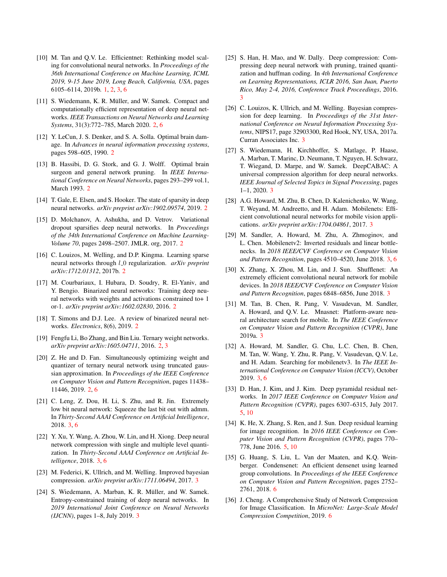- <span id="page-7-0"></span>[10] M. Tan and Q.V. Le. Efficientnet: Rethinking model scaling for convolutional neural networks. In *Proceedings of the 36th International Conference on Machine Learning, ICML 2019, 9-15 June 2019, Long Beach, California, USA*, pages 6105–6114, 2019b. [1,](#page-0-0) [2,](#page-1-2) [3,](#page-2-5) [6](#page-5-2)
- <span id="page-7-1"></span>[11] S. Wiedemann, K. R. Müller, and W. Samek. Compact and computationally efficient representation of deep neural networks. *IEEE Transactions on Neural Networks and Learning Systems*, 31(3):772–785, March 2020. [2,](#page-1-2) [6](#page-5-2)
- <span id="page-7-2"></span>[12] Y. LeCun, J. S. Denker, and S. A. Solla. Optimal brain damage. In *Advances in neural information processing systems*, pages 598–605, 1990. [2](#page-1-2)
- <span id="page-7-3"></span>[13] B. Hassibi, D. G. Stork, and G. J. Wolff. Optimal brain surgeon and general network pruning. In *IEEE International Conference on Neural Networks*, pages 293–299 vol.1, March 1993. [2](#page-1-2)
- <span id="page-7-4"></span>[14] T. Gale, E. Elsen, and S. Hooker. The state of sparsity in deep neural networks. *arXiv preprint arXiv:1902.09574*, 2019. [2](#page-1-2)
- <span id="page-7-5"></span>[15] D. Molchanov, A. Ashukha, and D. Vetrov. Variational dropout sparsifies deep neural networks. In *Proceedings of the 34th International Conference on Machine Learning-Volume 70*, pages 2498–2507. JMLR. org, 2017. [2](#page-1-2)
- <span id="page-7-6"></span>[16] C. Louizos, M. Welling, and D.P. Kingma. Learning sparse neural networks through *l*\_0 regularization. *arXiv preprint arXiv:1712.01312*, 2017b. [2](#page-1-2)
- <span id="page-7-7"></span>[17] M. Courbariaux, I. Hubara, D. Soudry, R. El-Yaniv, and Y. Bengio. Binarized neural networks: Training deep neural networks with weights and activations constrained to+ 1 or-1. *arXiv preprint arXiv:1602.02830*, 2016. [2](#page-1-2)
- <span id="page-7-8"></span>[18] T. Simons and D.J. Lee. A review of binarized neural networks. *Electronics*, 8(6), 2019. [2](#page-1-2)
- <span id="page-7-9"></span>[19] Fengfu Li, Bo Zhang, and Bin Liu. Ternary weight networks. *arXiv preprint arXiv:1605.04711*, 2016. [2,](#page-1-2) [3](#page-2-5)
- <span id="page-7-10"></span>[20] Z. He and D. Fan. Simultaneously optimizing weight and quantizer of ternary neural network using truncated gaussian approximation. In *Proceedings of the IEEE Conference on Computer Vision and Pattern Recognition*, pages 11438– 11446, 2019. [2,](#page-1-2) [6](#page-5-2)
- <span id="page-7-11"></span>[21] C. Leng, Z. Dou, H. Li, S. Zhu, and R. Jin. Extremely low bit neural network: Squeeze the last bit out with admm. In *Thirty-Second AAAI Conference on Artificial Intelligence*, 2018. [3,](#page-2-5) [6](#page-5-2)
- <span id="page-7-12"></span>[22] Y. Xu, Y. Wang, A. Zhou, W. Lin, and H. Xiong. Deep neural network compression with single and multiple level quantization. In *Thirty-Second AAAI Conference on Artificial Intelligence*, 2018. [3,](#page-2-5) [6](#page-5-2)
- <span id="page-7-13"></span>[23] M. Federici, K. Ullrich, and M. Welling. Improved bayesian compression. *arXiv preprint arXiv:1711.06494*, 2017. [3](#page-2-5)
- <span id="page-7-14"></span>[24] S. Wiedemann, A. Marban, K. R. Müller, and W. Samek. Entropy-constrained training of deep neural networks. In *2019 International Joint Conference on Neural Networks (IJCNN)*, pages 1–8, July 2019. [3](#page-2-5)
- <span id="page-7-15"></span>[25] S. Han, H. Mao, and W. Dally. Deep compression: Compressing deep neural network with pruning, trained quantization and huffman coding. In *4th International Conference on Learning Representations, ICLR 2016, San Juan, Puerto Rico, May 2-4, 2016, Conference Track Proceedings*, 2016. [3](#page-2-5)
- <span id="page-7-16"></span>[26] C. Louizos, K. Ullrich, and M. Welling. Bayesian compression for deep learning. In *Proceedings of the 31st International Conference on Neural Information Processing Systems*, NIPS17, page 32903300, Red Hook, NY, USA, 2017a. Curran Associates Inc. [3](#page-2-5)
- <span id="page-7-17"></span>[27] S. Wiedemann, H. Kirchhoffer, S. Matlage, P. Haase, A. Marban, T. Marinc, D. Neumann, T. Nguyen, H. Schwarz, T. Wiegand, D. Marpe, and W. Samek. DeepCABAC: A universal compression algorithm for deep neural networks. *IEEE Journal of Selected Topics in Signal Processing*, pages 1–1, 2020. [3](#page-2-5)
- <span id="page-7-18"></span>[28] A.G. Howard, M. Zhu, B. Chen, D. Kalenichenko, W. Wang, T. Weyand, M. Andreetto, and H. Adam. Mobilenets: Efficient convolutional neural networks for mobile vision applications. *arXiv preprint arXiv:1704.04861*, 2017. [3](#page-2-5)
- <span id="page-7-19"></span>[29] M. Sandler, A. Howard, M. Zhu, A. Zhmoginov, and L. Chen. Mobilenetv2: Inverted residuals and linear bottlenecks. In *2018 IEEE/CVF Conference on Computer Vision and Pattern Recognition*, pages 4510–4520, June 2018. [3,](#page-2-5) [6](#page-5-2)
- <span id="page-7-20"></span>[30] X. Zhang, X. Zhou, M. Lin, and J. Sun. Shufflenet: An extremely efficient convolutional neural network for mobile devices. In *2018 IEEE/CVF Conference on Computer Vision and Pattern Recognition*, pages 6848–6856, June 2018. [3](#page-2-5)
- <span id="page-7-21"></span>[31] M. Tan, B. Chen, R. Pang, V. Vasudevan, M. Sandler, A. Howard, and Q.V. Le. Mnasnet: Platform-aware neural architecture search for mobile. In *The IEEE Conference on Computer Vision and Pattern Recognition (CVPR)*, June 2019a. [3](#page-2-5)
- <span id="page-7-22"></span>[32] A. Howard, M. Sandler, G. Chu, L.C. Chen, B. Chen, M. Tan, W. Wang, Y. Zhu, R. Pang, V. Vasudevan, Q.V. Le, and H. Adam. Searching for mobilenetv3. In *The IEEE International Conference on Computer Vision (ICCV)*, October 2019. [3,](#page-2-5) [6](#page-5-2)
- <span id="page-7-23"></span>[33] D. Han, J. Kim, and J. Kim. Deep pyramidal residual networks. In *2017 IEEE Conference on Computer Vision and Pattern Recognition (CVPR)*, pages 6307–6315, July 2017. [5,](#page-4-3) [10](#page-9-1)
- <span id="page-7-24"></span>[34] K. He, X. Zhang, S. Ren, and J. Sun. Deep residual learning for image recognition. In *2016 IEEE Conference on Computer Vision and Pattern Recognition (CVPR)*, pages 770– 778, June 2016. [5,](#page-4-3) [10](#page-9-1)
- <span id="page-7-25"></span>[35] G. Huang, S. Liu, L. Van der Maaten, and K.Q. Weinberger. Condensenet: An efficient densenet using learned group convolutions. In *Proceedings of the IEEE Conference on Computer Vision and Pattern Recognition*, pages 2752– 2761, 2018. [6](#page-5-2)
- <span id="page-7-26"></span>[36] J. Cheng. A Comprehensive Study of Network Compression for Image Classification. In *MicroNet: Large-Scale Model Compression Competition*, 2019. [6](#page-5-2)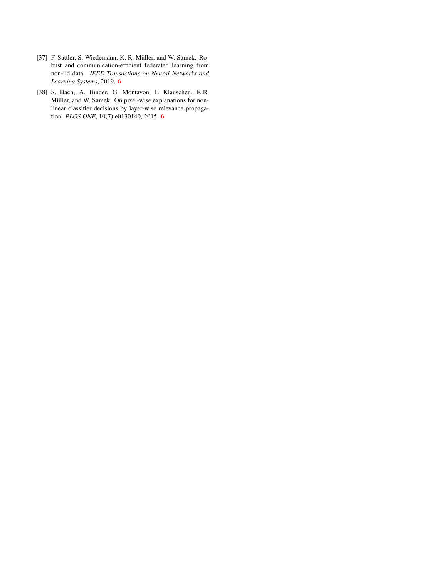- <span id="page-8-0"></span>[37] F. Sattler, S. Wiedemann, K. R. Müller, and W. Samek. Robust and communication-efficient federated learning from non-iid data. *IEEE Transactions on Neural Networks and Learning Systems*, 2019. [6](#page-5-2)
- <span id="page-8-1"></span>[38] S. Bach, A. Binder, G. Montavon, F. Klauschen, K.R. Müller, and W. Samek. On pixel-wise explanations for nonlinear classifier decisions by layer-wise relevance propagation. *PLOS ONE*, 10(7):e0130140, 2015. [6](#page-5-2)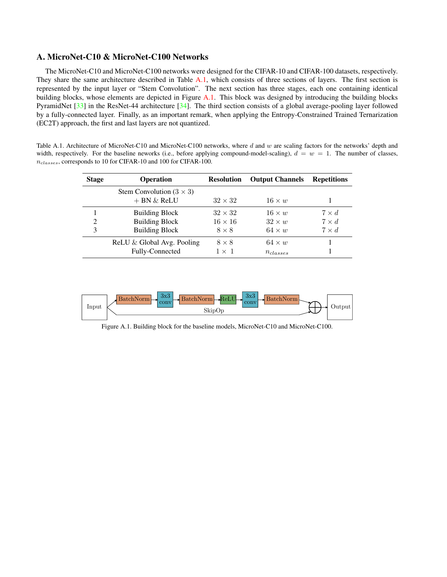# <span id="page-9-1"></span><span id="page-9-0"></span>A. MicroNet-C10 & MicroNet-C100 Networks

The MicroNet-C10 and MicroNet-C100 networks were designed for the CIFAR-10 and CIFAR-100 datasets, respectively. They share the same architecture described in Table [A.1,](#page-9-2) which consists of three sections of layers. The first section is represented by the input layer or "Stem Convolution". The next section has three stages, each one containing identical building blocks, whose elements are depicted in Figure [A.1.](#page-9-3) This block was designed by introducing the building blocks PyramidNet [\[33\]](#page-7-23) in the ResNet-44 architecture [\[34\]](#page-7-24). The third section consists of a global average-pooling layer followed by a fully-connected layer. Finally, as an important remark, when applying the Entropy-Constrained Trained Ternarization (EC2T) approach, the first and last layers are not quantized.

<span id="page-9-2"></span>Table A.1. Architecture of MicroNet-C10 and MicroNet-C100 networks, where d and w are scaling factors for the networks' depth and width, respectively. For the baseline neworks (i.e., before applying compound-model-scaling),  $d = w = 1$ . The number of classes,  $n_{classes}$ , corresponds to 10 for CIFAR-10 and 100 for CIFAR-100.

| <b>Stage</b> | <b>Operation</b>                                    | <b>Resolution</b> | <b>Output Channels</b> | <b>Repetitions</b> |
|--------------|-----------------------------------------------------|-------------------|------------------------|--------------------|
|              | Stem Convolution $(3 \times 3)$<br>$+$ BN $\&$ ReLU | $32 \times 32$    | $16 \times w$          |                    |
|              | <b>Building Block</b>                               | $32 \times 32$    | $16 \times w$          | $7 \times d$       |
| 2            | <b>Building Block</b>                               | $16 \times 16$    | $32 \times w$          | $7 \times d$       |
| 3            | <b>Building Block</b>                               | $8 \times 8$      | $64 \times w$          | $7 \times d$       |
|              | ReLU & Global Avg. Pooling                          | $8 \times 8$      | $64 \times w$          |                    |
|              | Fully-Connected                                     | $1 \times 1$      | $n_{classes}$          |                    |



<span id="page-9-3"></span>Figure A.1. Building block for the baseline models, MicroNet-C10 and MicroNet-C100.